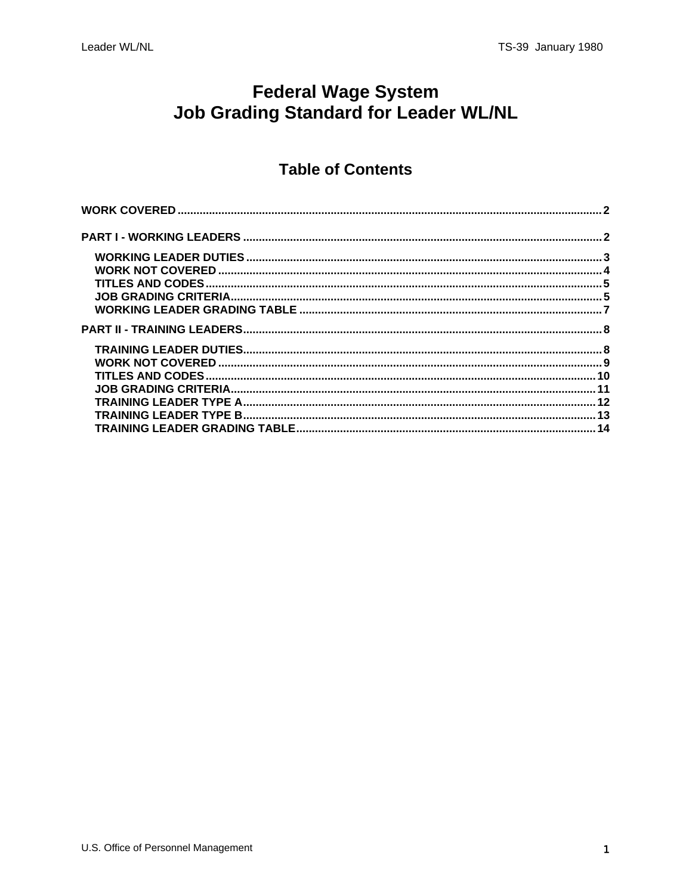# **Federal Wage System Job Grading Standard for Leader WL/NL**

### **Table of Contents**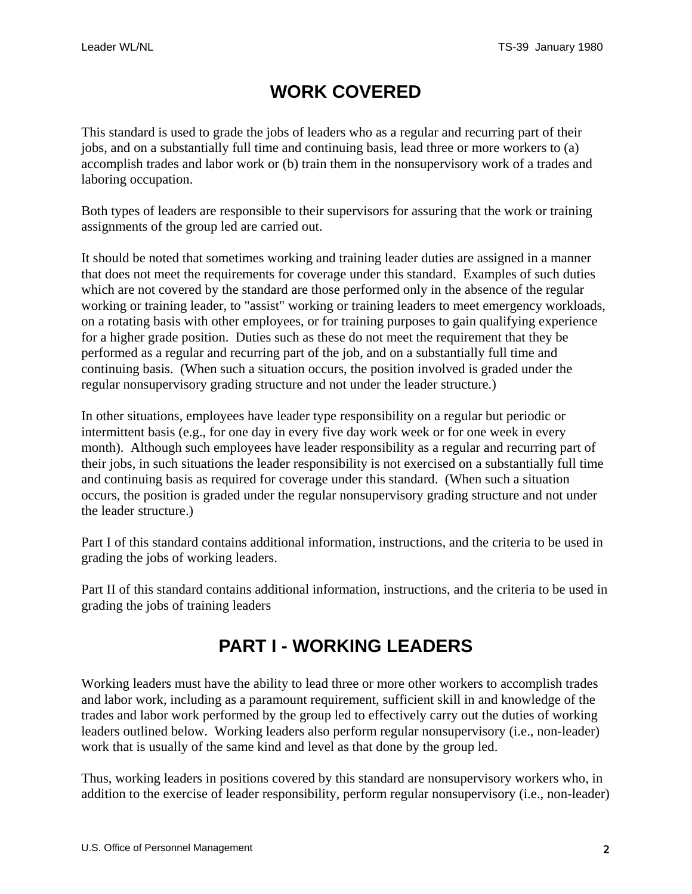# **WORK COVERED**

<span id="page-1-0"></span>This standard is used to grade the jobs of leaders who as a regular and recurring part of their jobs, and on a substantially full time and continuing basis, lead three or more workers to (a) accomplish trades and labor work or (b) train them in the nonsupervisory work of a trades and laboring occupation.

Both types of leaders are responsible to their supervisors for assuring that the work or training assignments of the group led are carried out.

It should be noted that sometimes working and training leader duties are assigned in a manner that does not meet the requirements for coverage under this standard. Examples of such duties which are not covered by the standard are those performed only in the absence of the regular working or training leader, to "assist" working or training leaders to meet emergency workloads, on a rotating basis with other employees, or for training purposes to gain qualifying experience for a higher grade position. Duties such as these do not meet the requirement that they be performed as a regular and recurring part of the job, and on a substantially full time and continuing basis. (When such a situation occurs, the position involved is graded under the regular nonsupervisory grading structure and not under the leader structure.)

In other situations, employees have leader type responsibility on a regular but periodic or intermittent basis (e.g., for one day in every five day work week or for one week in every month). Although such employees have leader responsibility as a regular and recurring part of their jobs, in such situations the leader responsibility is not exercised on a substantially full time and continuing basis as required for coverage under this standard. (When such a situation occurs, the position is graded under the regular nonsupervisory grading structure and not under the leader structure.)

Part I of this standard contains additional information, instructions, and the criteria to be used in grading the jobs of working leaders.

Part II of this standard contains additional information, instructions, and the criteria to be used in grading the jobs of training leaders

# **PART I - WORKING LEADERS**

Working leaders must have the ability to lead three or more other workers to accomplish trades and labor work, including as a paramount requirement, sufficient skill in and knowledge of the trades and labor work performed by the group led to effectively carry out the duties of working leaders outlined below. Working leaders also perform regular nonsupervisory (i.e., non-leader) work that is usually of the same kind and level as that done by the group led.

Thus, working leaders in positions covered by this standard are nonsupervisory workers who, in addition to the exercise of leader responsibility, perform regular nonsupervisory (i.e., non-leader)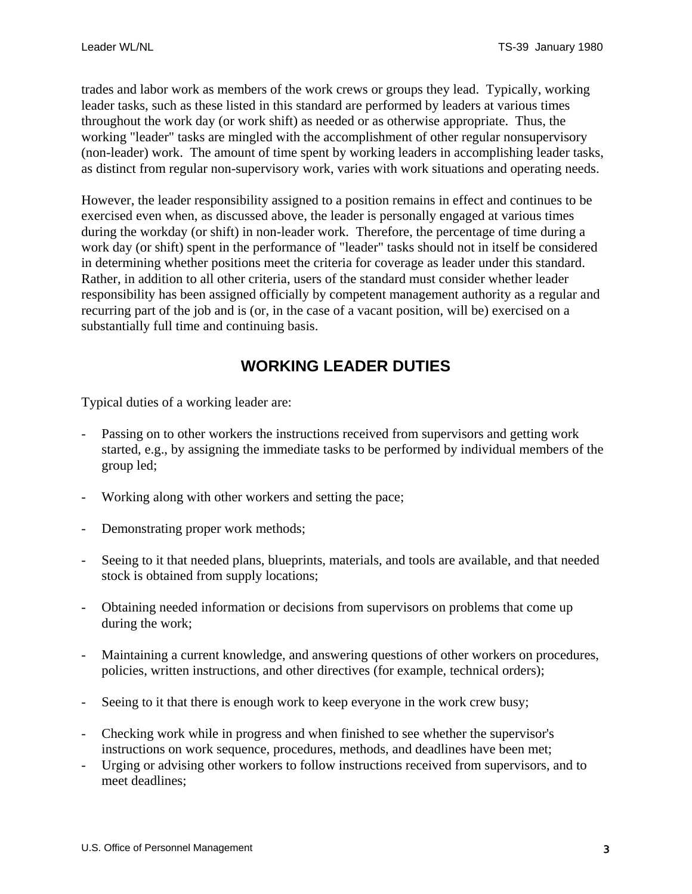<span id="page-2-0"></span>trades and labor work as members of the work crews or groups they lead. Typically, working leader tasks, such as these listed in this standard are performed by leaders at various times throughout the work day (or work shift) as needed or as otherwise appropriate. Thus, the working "leader" tasks are mingled with the accomplishment of other regular nonsupervisory (non-leader) work. The amount of time spent by working leaders in accomplishing leader tasks, as distinct from regular non-supervisory work, varies with work situations and operating needs.

However, the leader responsibility assigned to a position remains in effect and continues to be exercised even when, as discussed above, the leader is personally engaged at various times during the workday (or shift) in non-leader work. Therefore, the percentage of time during a work day (or shift) spent in the performance of "leader" tasks should not in itself be considered in determining whether positions meet the criteria for coverage as leader under this standard. Rather, in addition to all other criteria, users of the standard must consider whether leader responsibility has been assigned officially by competent management authority as a regular and recurring part of the job and is (or, in the case of a vacant position, will be) exercised on a substantially full time and continuing basis.

# **WORKING LEADER DUTIES**

Typical duties of a working leader are:

- Passing on to other workers the instructions received from supervisors and getting work started, e.g., by assigning the immediate tasks to be performed by individual members of the group led;
- Working along with other workers and setting the pace;
- Demonstrating proper work methods;
- Seeing to it that needed plans, blueprints, materials, and tools are available, and that needed stock is obtained from supply locations;
- Obtaining needed information or decisions from supervisors on problems that come up during the work;
- Maintaining a current knowledge, and answering questions of other workers on procedures, policies, written instructions, and other directives (for example, technical orders);
- Seeing to it that there is enough work to keep everyone in the work crew busy;
- Checking work while in progress and when finished to see whether the supervisor's instructions on work sequence, procedures, methods, and deadlines have been met;
- Urging or advising other workers to follow instructions received from supervisors, and to meet deadlines;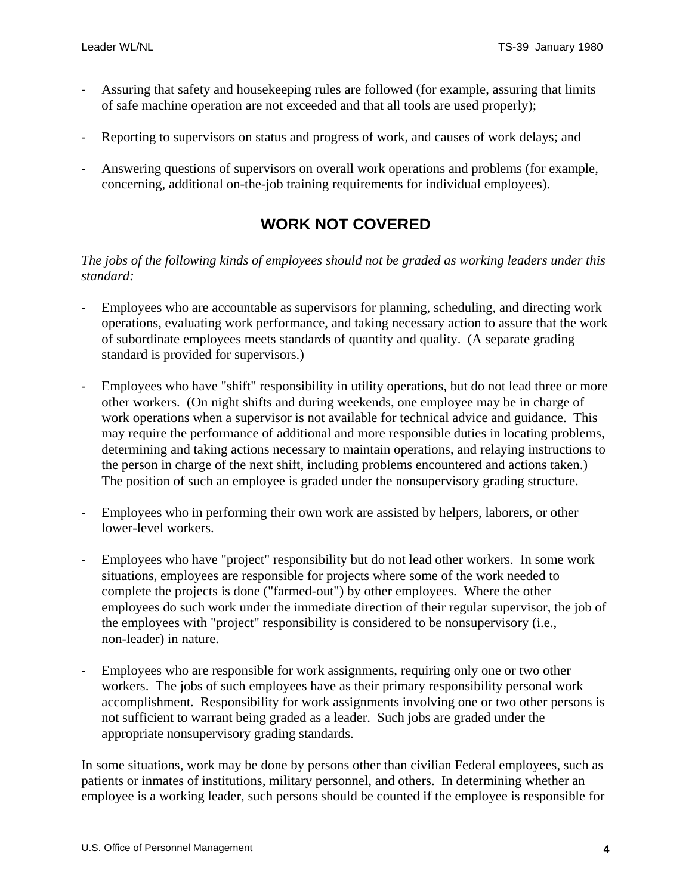- <span id="page-3-0"></span>Assuring that safety and house keeping rules are followed (for example, assuring that limits of safe machine operation are not exceeded and that all tools are used properly);
- Reporting to supervisors on status and progress of work, and causes of work delays; and
- Answering questions of supervisors on overall work operations and problems (for example, concerning, additional on-the-job training requirements for individual employees).

### **WORK NOT COVERED**

#### *The jobs of the following kinds of employees should not be graded as working leaders under this standard:*

- Employees who are accountable as supervisors for planning, scheduling, and directing work operations, evaluating work performance, and taking necessary action to assure that the work of subordinate employees meets standards of quantity and quality. (A separate grading standard is provided for supervisors.)
- Employees who have "shift" responsibility in utility operations, but do not lead three or more other workers. (On night shifts and during weekends, one employee may be in charge of work operations when a supervisor is not available for technical advice and guidance. This may require the performance of additional and more responsible duties in locating problems, determining and taking actions necessary to maintain operations, and relaying instructions to the person in charge of the next shift, including problems encountered and actions taken.) The position of such an employee is graded under the nonsupervisory grading structure.
- Employees who in performing their own work are assisted by helpers, laborers, or other lower-level workers.
- Employees who have "project" responsibility but do not lead other workers. In some work situations, employees are responsible for projects where some of the work needed to complete the projects is done ("farmed-out") by other employees. Where the other employees do such work under the immediate direction of their regular supervisor, the job of the employees with "project" responsibility is considered to be nonsupervisory (i.e., non-leader) in nature.
- Employees who are responsible for work assignments, requiring only one or two other workers. The jobs of such employees have as their primary responsibility personal work accomplishment. Responsibility for work assignments involving one or two other persons is not sufficient to warrant being graded as a leader. Such jobs are graded under the appropriate nonsupervisory grading standards.

In some situations, work may be done by persons other than civilian Federal employees, such as patients or inmates of institutions, military personnel, and others. In determining whether an employee is a working leader, such persons should be counted if the employee is responsible for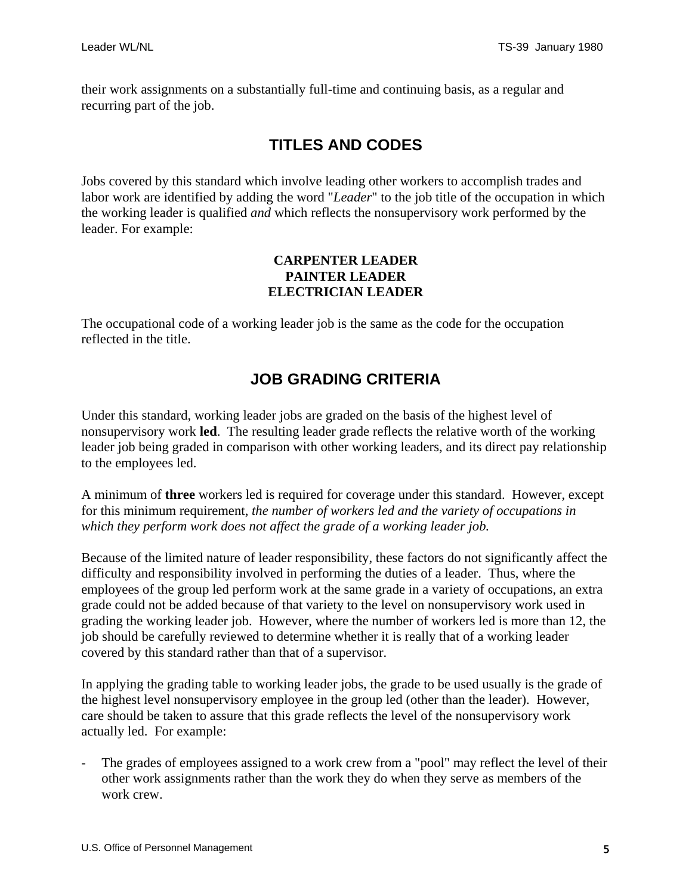<span id="page-4-0"></span>their work assignments on a substantially full-time and continuing basis, as a regular and recurring part of the job.

## **TITLES AND CODES**

Jobs covered by this standard which involve leading other workers to accomplish trades and labor work are identified by adding the word "*Leader*" to the job title of the occupation in which the working leader is qualified *and* which reflects the nonsupervisory work performed by the leader. For example:

#### **CARPENTER LEADER PAINTER LEADER ELECTRICIAN LEADER**

The occupational code of a working leader job is the same as the code for the occupation reflected in the title.

## **JOB GRADING CRITERIA**

Under this standard, working leader jobs are graded on the basis of the highest level of nonsupervisory work **led**. The resulting leader grade reflects the relative worth of the working leader job being graded in comparison with other working leaders, and its direct pay relationship to the employees led.

A minimum of **three** workers led is required for coverage under this standard. However, except for this minimum requirement, *the number of workers led and the variety of occupations in which they perform work does not affect the grade of a working leader job.*

Because of the limited nature of leader responsibility, these factors do not significantly affect the difficulty and responsibility involved in performing the duties of a leader. Thus, where the employees of the group led perform work at the same grade in a variety of occupations, an extra grade could not be added because of that variety to the level on nonsupervisory work used in grading the working leader job. However, where the number of workers led is more than 12, the job should be carefully reviewed to determine whether it is really that of a working leader covered by this standard rather than that of a supervisor.

In applying the grading table to working leader jobs, the grade to be used usually is the grade of the highest level nonsupervisory employee in the group led (other than the leader). However, care should be taken to assure that this grade reflects the level of the nonsupervisory work actually led. For example:

The grades of employees assigned to a work crew from a "pool" may reflect the level of their other work assignments rather than the work they do when they serve as members of the work crew.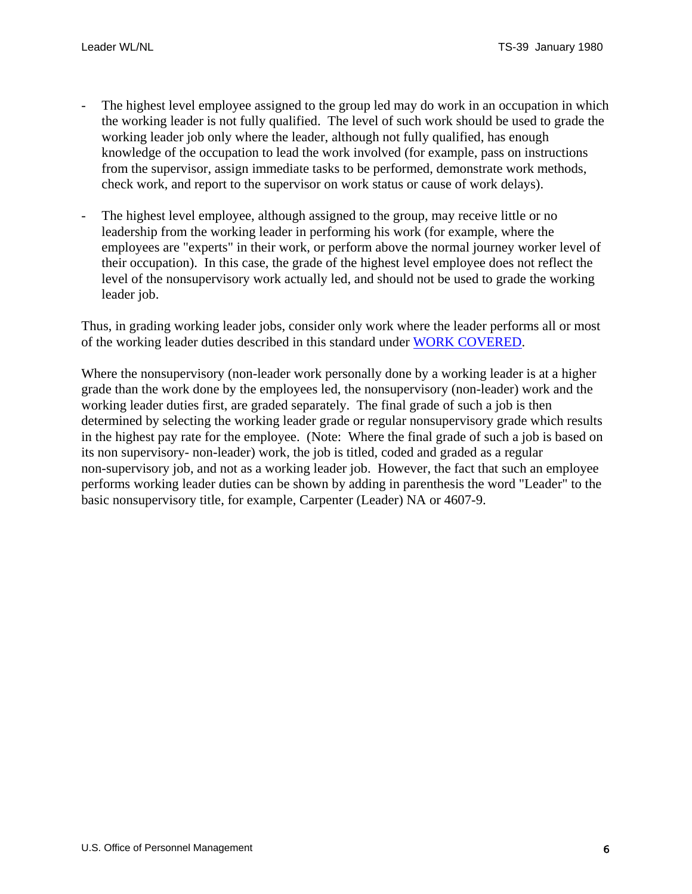- The highest level employee assigned to the group led may do work in an occupation in which the working leader is not fully qualified. The level of such work should be used to grade the working leader job only where the leader, although not fully qualified, has enough knowledge of the occupation to lead the work involved (for example, pass on instructions from the supervisor, assign immediate tasks to be performed, demonstrate work methods, check work, and report to the supervisor on work status or cause of work delays).
- The highest level employee, although assigned to the group, may receive little or no leadership from the working leader in performing his work (for example, where the employees are "experts" in their work, or perform above the normal journey worker level of their occupation). In this case, the grade of the highest level employee does not reflect the level of the nonsupervisory work actually led, and should not be used to grade the working leader job.

Thus, in grading working leader jobs, consider only work where the leader performs all or most of the working leader duties described in this standard under [WORK COVERED.](#page-1-0)

Where the nonsupervisory (non-leader work personally done by a working leader is at a higher grade than the work done by the employees led, the nonsupervisory (non-leader) work and the working leader duties first, are graded separately. The final grade of such a job is then determined by selecting the working leader grade or regular nonsupervisory grade which results in the highest pay rate for the employee. (Note: Where the final grade of such a job is based on its non supervisory- non-leader) work, the job is titled, coded and graded as a regular non-supervisory job, and not as a working leader job. However, the fact that such an employee performs working leader duties can be shown by adding in parenthesis the word "Leader" to the basic nonsupervisory title, for example, Carpenter (Leader) NA or 4607-9.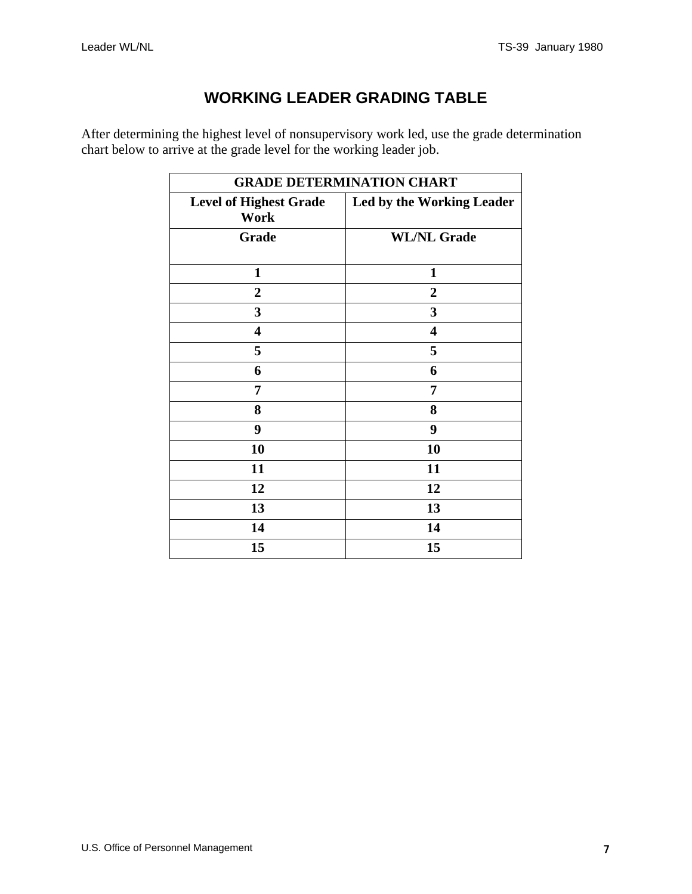# **WORKING LEADER GRADING TABLE**

<span id="page-6-0"></span>After determining the highest level of nonsupervisory work led, use the grade determination chart below to arrive at the grade level for the working leader job.

| <b>GRADE DETERMINATION CHART</b>      |                                  |  |  |
|---------------------------------------|----------------------------------|--|--|
| <b>Level of Highest Grade</b><br>Work | <b>Led by the Working Leader</b> |  |  |
| Grade                                 | <b>WL/NL Grade</b>               |  |  |
| $\mathbf{1}$                          | $\mathbf{1}$                     |  |  |
| $\boldsymbol{2}$                      | $\boldsymbol{2}$                 |  |  |
| $\overline{\mathbf{3}}$               | 3                                |  |  |
| $\overline{\mathbf{4}}$               | $\overline{\mathbf{4}}$          |  |  |
| 5                                     | 5                                |  |  |
| 6                                     | 6                                |  |  |
| 7                                     | 7                                |  |  |
| 8                                     | 8                                |  |  |
| 9                                     | 9                                |  |  |
| 10                                    | 10                               |  |  |
| 11                                    | 11                               |  |  |
| 12                                    | 12                               |  |  |
| 13                                    | 13                               |  |  |
| 14                                    | 14                               |  |  |
| 15                                    | 15                               |  |  |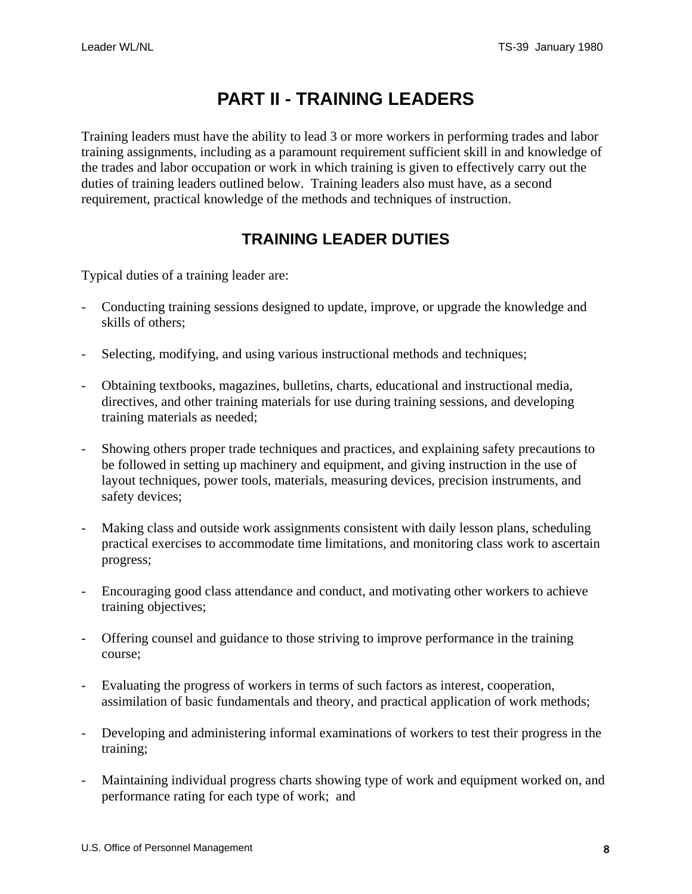# **PART II - TRAINING LEADERS**

<span id="page-7-0"></span>Training leaders must have the ability to lead 3 or more workers in performing trades and labor training assignments, including as a paramount requirement sufficient skill in and knowledge of the trades and labor occupation or work in which training is given to effectively carry out the duties of training leaders outlined below. Training leaders also must have, as a second requirement, practical knowledge of the methods and techniques of instruction.

### **TRAINING LEADER DUTIES**

Typical duties of a training leader are:

- Conducting training sessions designed to update, improve, or upgrade the knowledge and skills of others;
- Selecting, modifying, and using various instructional methods and techniques;
- Obtaining textbooks, magazines, bulletins, charts, educational and instructional media, directives, and other training materials for use during training sessions, and developing training materials as needed;
- Showing others proper trade techniques and practices, and explaining safety precautions to be followed in setting up machinery and equipment, and giving instruction in the use of layout techniques, power tools, materials, measuring devices, precision instruments, and safety devices;
- Making class and outside work assignments consistent with daily lesson plans, scheduling practical exercises to accommodate time limitations, and monitoring class work to ascertain progress;
- Encouraging good class attendance and conduct, and motivating other workers to achieve training objectives;
- Offering counsel and guidance to those striving to improve performance in the training course;
- Evaluating the progress of workers in terms of such factors as interest, cooperation, assimilation of basic fundamentals and theory, and practical application of work methods;
- Developing and administering informal examinations of workers to test their progress in the training;
- Maintaining individual progress charts showing type of work and equipment worked on, and performance rating for each type of work; and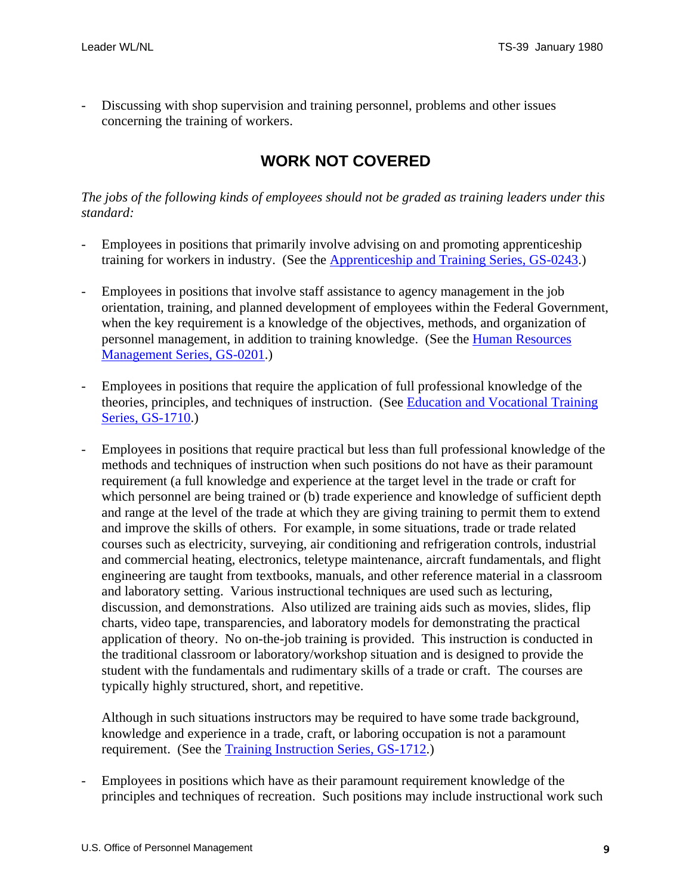<span id="page-8-0"></span>Discussing with shop supervision and training personnel, problems and other issues concerning the training of workers.

### **WORK NOT COVERED**

*The jobs of the following kinds of employees should not be graded as training leaders under this standard:* 

- Employees in positions that primarily involve advising on and promoting apprenticeship training for workers in industry. (See the Apprenticeship and Training Series, GS-0243.)
- Employees in positions that involve staff assistance to agency management in the job orientation, training, and planned development of employees within the Federal Government, when the key requirement is a knowledge of the objectives, methods, and organization of personnel management, in addition to training knowledge. (See the Human Resources Management Series, GS-0201.)
- Employees in positions that require the application of full professional knowledge of the theories, principles, and techniques of instruction. (See Education and Vocational Training Series, GS-1710.)
- Employees in positions that require practical but less than full professional knowledge of the methods and techniques of instruction when such positions do not have as their paramount requirement (a full knowledge and experience at the target level in the trade or craft for which personnel are being trained or (b) trade experience and knowledge of sufficient depth and range at the level of the trade at which they are giving training to permit them to extend and improve the skills of others. For example, in some situations, trade or trade related courses such as electricity, surveying, air conditioning and refrigeration controls, industrial and commercial heating, electronics, teletype maintenance, aircraft fundamentals, and flight engineering are taught from textbooks, manuals, and other reference material in a classroom and laboratory setting. Various instructional techniques are used such as lecturing, discussion, and demonstrations. Also utilized are training aids such as movies, slides, flip charts, video tape, transparencies, and laboratory models for demonstrating the practical application of theory. No on-the-job training is provided. This instruction is conducted in the traditional classroom or laboratory/workshop situation and is designed to provide the student with the fundamentals and rudimentary skills of a trade or craft. The courses are typically highly structured, short, and repetitive.

Although in such situations instructors may be required to have some trade background, knowledge and experience in a trade, craft, or laboring occupation is not a paramount requirement. (See the Training Instruction Series, GS-1712.)

Employees in positions which have as their paramount requirement knowledge of the principles and techniques of recreation. Such positions may include instructional work such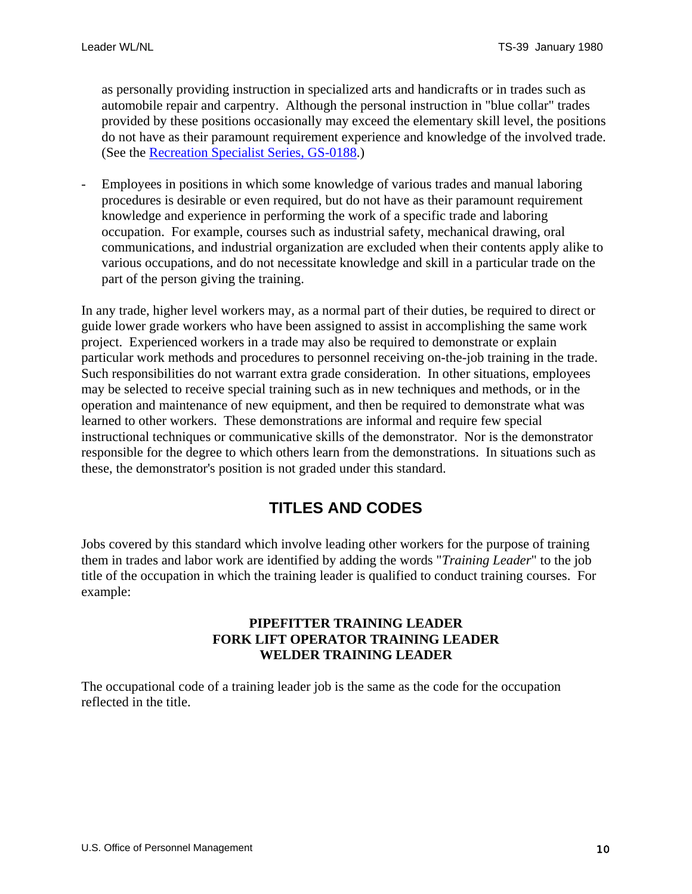<span id="page-9-0"></span>as personally providing instruction in specialized arts and handicrafts or in trades such as automobile repair and carpentry. Although the personal instruction in "blue collar" trades provided by these positions occasionally may exceed the elementary skill level, the positions do not have as their paramount requirement experience and knowledge of the involved trade. (See the Recreation Specialist Series, GS-0188.)

- Employees in positions in which some knowledge of various trades and manual laboring procedures is desirable or even required, but do not have as their paramount requirement knowledge and experience in performing the work of a specific trade and laboring occupation. For example, courses such as industrial safety, mechanical drawing, oral communications, and industrial organization are excluded when their contents apply alike to various occupations, and do not necessitate knowledge and skill in a particular trade on the part of the person giving the training.

In any trade, higher level workers may, as a normal part of their duties, be required to direct or guide lower grade workers who have been assigned to assist in accomplishing the same work project. Experienced workers in a trade may also be required to demonstrate or explain particular work methods and procedures to personnel receiving on-the-job training in the trade. Such responsibilities do not warrant extra grade consideration. In other situations, employees may be selected to receive special training such as in new techniques and methods, or in the operation and maintenance of new equipment, and then be required to demonstrate what was learned to other workers. These demonstrations are informal and require few special instructional techniques or communicative skills of the demonstrator. Nor is the demonstrator responsible for the degree to which others learn from the demonstrations. In situations such as these, the demonstrator's position is not graded under this standard.

# **TITLES AND CODES**

Jobs covered by this standard which involve leading other workers for the purpose of training them in trades and labor work are identified by adding the words "*Training Leader*" to the job title of the occupation in which the training leader is qualified to conduct training courses. For example:

#### **PIPEFITTER TRAINING LEADER FORK LIFT OPERATOR TRAINING LEADER WELDER TRAINING LEADER**

The occupational code of a training leader job is the same as the code for the occupation reflected in the title.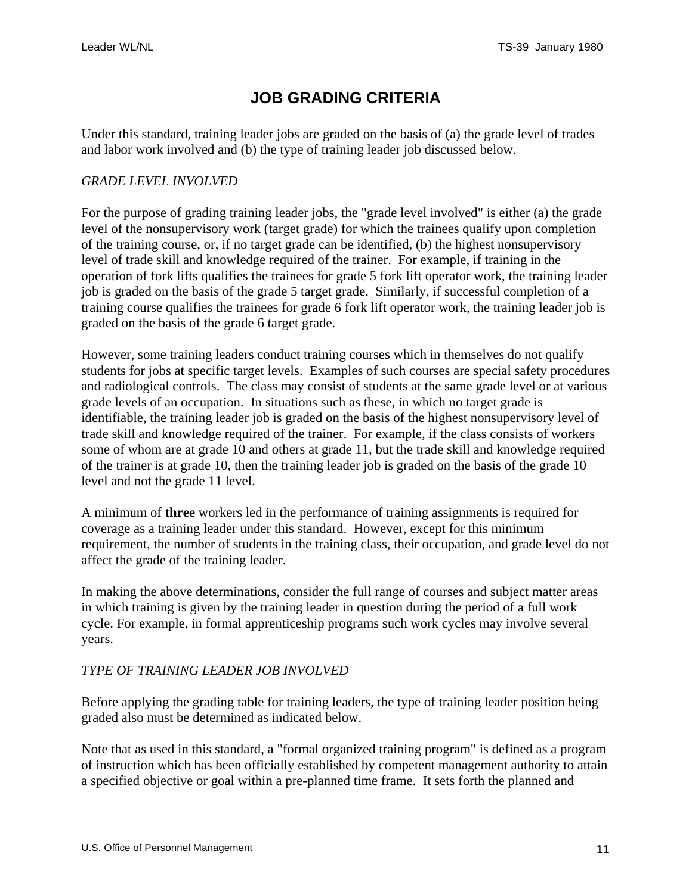# **JOB GRADING CRITERIA**

<span id="page-10-0"></span>Under this standard, training leader jobs are graded on the basis of (a) the grade level of trades and labor work involved and (b) the type of training leader job discussed below.

#### *GRADE LEVEL INVOLVED*

For the purpose of grading training leader jobs, the "grade level involved" is either (a) the grade level of the nonsupervisory work (target grade) for which the trainees qualify upon completion of the training course, or, if no target grade can be identified, (b) the highest nonsupervisory level of trade skill and knowledge required of the trainer. For example, if training in the operation of fork lifts qualifies the trainees for grade 5 fork lift operator work, the training leader job is graded on the basis of the grade 5 target grade. Similarly, if successful completion of a training course qualifies the trainees for grade 6 fork lift operator work, the training leader job is graded on the basis of the grade 6 target grade.

However, some training leaders conduct training courses which in themselves do not qualify students for jobs at specific target levels. Examples of such courses are special safety procedures and radiological controls. The class may consist of students at the same grade level or at various grade levels of an occupation. In situations such as these, in which no target grade is identifiable, the training leader job is graded on the basis of the highest nonsupervisory level of trade skill and knowledge required of the trainer. For example, if the class consists of workers some of whom are at grade 10 and others at grade 11, but the trade skill and knowledge required of the trainer is at grade 10, then the training leader job is graded on the basis of the grade 10 level and not the grade 11 level.

A minimum of **three** workers led in the performance of training assignments is required for coverage as a training leader under this standard. However, except for this minimum requirement, the number of students in the training class, their occupation, and grade level do not affect the grade of the training leader.

In making the above determinations, consider the full range of courses and subject matter areas in which training is given by the training leader in question during the period of a full work cycle. For example, in formal apprenticeship programs such work cycles may involve several years.

#### *TYPE OF TRAINING LEADER JOB INVOLVED*

Before applying the grading table for training leaders, the type of training leader position being graded also must be determined as indicated below.

Note that as used in this standard, a "formal organized training program" is defined as a program of instruction which has been officially established by competent management authority to attain a specified objective or goal within a pre-planned time frame. It sets forth the planned and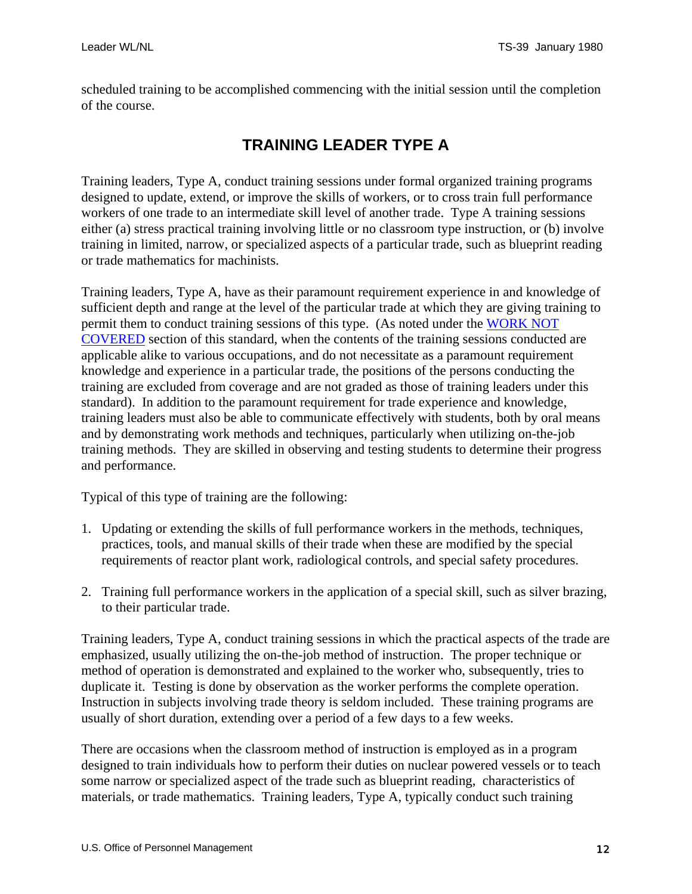<span id="page-11-0"></span>scheduled training to be accomplished commencing with the initial session until the completion of the course.

## **TRAINING LEADER TYPE A**

Training leaders, Type A, conduct training sessions under formal organized training programs designed to update, extend, or improve the skills of workers, or to cross train full performance workers of one trade to an intermediate skill level of another trade. Type A training sessions either (a) stress practical training involving little or no classroom type instruction, or (b) involve training in limited, narrow, or specialized aspects of a particular trade, such as blueprint reading or trade mathematics for machinists.

Training leaders, Type A, have as their paramount requirement experience in and knowledge of sufficient depth and range at the level of the particular trade at which they are giving training to permit them to conduct training sessions of this type. (As noted under the [WORK NOT](#page-8-0)  [COVERED](#page-8-0) section of this standard, when the contents of the training sessions conducted are applicable alike to various occupations, and do not necessitate as a paramount requirement knowledge and experience in a particular trade, the positions of the persons conducting the training are excluded from coverage and are not graded as those of training leaders under this standard). In addition to the paramount requirement for trade experience and knowledge, training leaders must also be able to communicate effectively with students, both by oral means and by demonstrating work methods and techniques, particularly when utilizing on-the-job training methods. They are skilled in observing and testing students to determine their progress and performance.

Typical of this type of training are the following:

- 1. Updating or extending the skills of full performance workers in the methods, techniques, practices, tools, and manual skills of their trade when these are modified by the special requirements of reactor plant work, radiological controls, and special safety procedures.
- 2. Training full performance workers in the application of a special skill, such as silver brazing, to their particular trade.

Training leaders, Type A, conduct training sessions in which the practical aspects of the trade are emphasized, usually utilizing the on-the-job method of instruction. The proper technique or method of operation is demonstrated and explained to the worker who, subsequently, tries to duplicate it. Testing is done by observation as the worker performs the complete operation. Instruction in subjects involving trade theory is seldom included. These training programs are usually of short duration, extending over a period of a few days to a few weeks.

There are occasions when the classroom method of instruction is employed as in a program designed to train individuals how to perform their duties on nuclear powered vessels or to teach some narrow or specialized aspect of the trade such as blueprint reading, characteristics of materials, or trade mathematics. Training leaders, Type A, typically conduct such training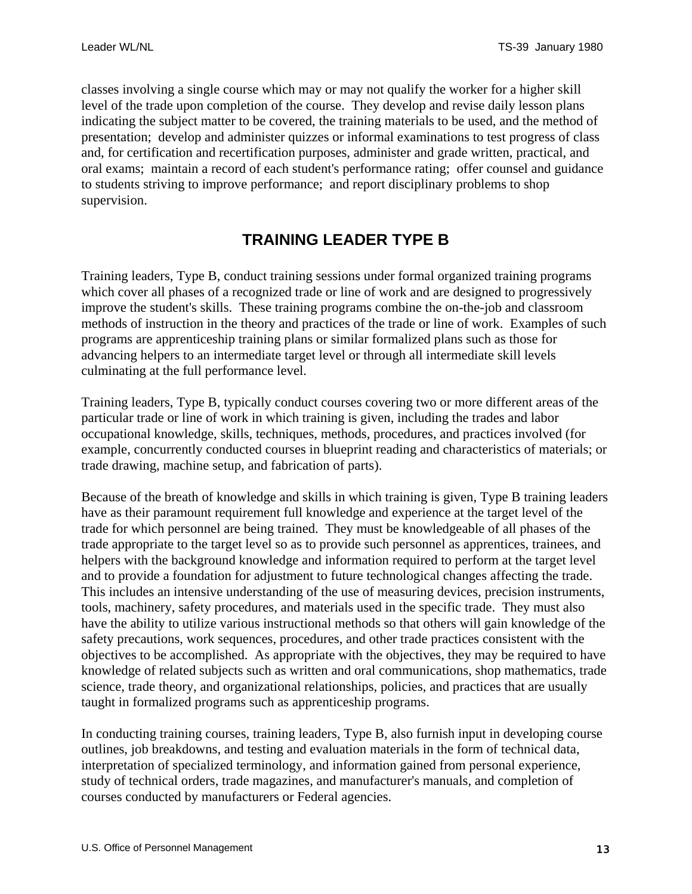<span id="page-12-0"></span>classes involving a single course which may or may not qualify the worker for a higher skill level of the trade upon completion of the course. They develop and revise daily lesson plans indicating the subject matter to be covered, the training materials to be used, and the method of presentation; develop and administer quizzes or informal examinations to test progress of class and, for certification and recertification purposes, administer and grade written, practical, and oral exams; maintain a record of each student's performance rating; offer counsel and guidance to students striving to improve performance; and report disciplinary problems to shop supervision.

### **TRAINING LEADER TYPE B**

Training leaders, Type B, conduct training sessions under formal organized training programs which cover all phases of a recognized trade or line of work and are designed to progressively improve the student's skills. These training programs combine the on-the-job and classroom methods of instruction in the theory and practices of the trade or line of work. Examples of such programs are apprenticeship training plans or similar formalized plans such as those for advancing helpers to an intermediate target level or through all intermediate skill levels culminating at the full performance level.

Training leaders, Type B, typically conduct courses covering two or more different areas of the particular trade or line of work in which training is given, including the trades and labor occupational knowledge, skills, techniques, methods, procedures, and practices involved (for example, concurrently conducted courses in blueprint reading and characteristics of materials; or trade drawing, machine setup, and fabrication of parts).

Because of the breath of knowledge and skills in which training is given, Type B training leaders have as their paramount requirement full knowledge and experience at the target level of the trade for which personnel are being trained. They must be knowledgeable of all phases of the trade appropriate to the target level so as to provide such personnel as apprentices, trainees, and helpers with the background knowledge and information required to perform at the target level and to provide a foundation for adjustment to future technological changes affecting the trade. This includes an intensive understanding of the use of measuring devices, precision instruments, tools, machinery, safety procedures, and materials used in the specific trade. They must also have the ability to utilize various instructional methods so that others will gain knowledge of the safety precautions, work sequences, procedures, and other trade practices consistent with the objectives to be accomplished. As appropriate with the objectives, they may be required to have knowledge of related subjects such as written and oral communications, shop mathematics, trade science, trade theory, and organizational relationships, policies, and practices that are usually taught in formalized programs such as apprenticeship programs.

In conducting training courses, training leaders, Type B, also furnish input in developing course outlines, job breakdowns, and testing and evaluation materials in the form of technical data, interpretation of specialized terminology, and information gained from personal experience, study of technical orders, trade magazines, and manufacturer's manuals, and completion of courses conducted by manufacturers or Federal agencies.